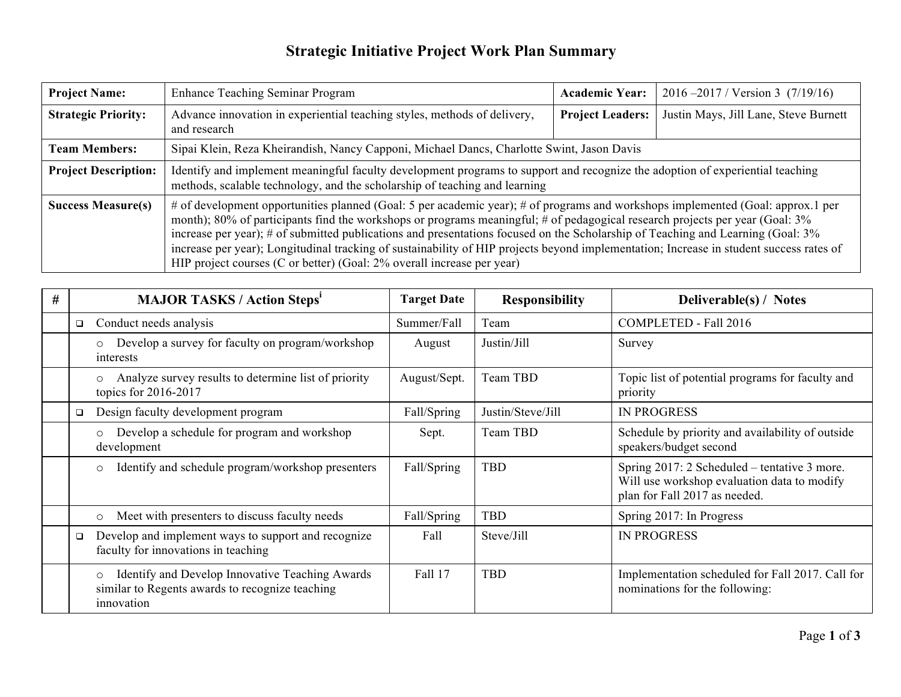## **Strategic Initiative Project Work Plan Summary**

| <b>Project Name:</b>        | <b>Enhance Teaching Seminar Program</b>                                                                                                                                                                                                                                                                                                                                                                                                                                                                                                                                                                                  | <b>Academic Year:</b>   | $2016 - 2017$ / Version 3 (7/19/16)   |  |
|-----------------------------|--------------------------------------------------------------------------------------------------------------------------------------------------------------------------------------------------------------------------------------------------------------------------------------------------------------------------------------------------------------------------------------------------------------------------------------------------------------------------------------------------------------------------------------------------------------------------------------------------------------------------|-------------------------|---------------------------------------|--|
| <b>Strategic Priority:</b>  | Advance innovation in experiential teaching styles, methods of delivery,<br>and research                                                                                                                                                                                                                                                                                                                                                                                                                                                                                                                                 | <b>Project Leaders:</b> | Justin Mays, Jill Lane, Steve Burnett |  |
| <b>Team Members:</b>        | Sipai Klein, Reza Kheirandish, Nancy Capponi, Michael Dancs, Charlotte Swint, Jason Davis                                                                                                                                                                                                                                                                                                                                                                                                                                                                                                                                |                         |                                       |  |
| <b>Project Description:</b> | Identify and implement meaningful faculty development programs to support and recognize the adoption of experiential teaching<br>methods, scalable technology, and the scholarship of teaching and learning                                                                                                                                                                                                                                                                                                                                                                                                              |                         |                                       |  |
| <b>Success Measure(s)</b>   | # of development opportunities planned (Goal: 5 per academic year); # of programs and workshops implemented (Goal: approx.1 per<br>month); 80% of participants find the workshops or programs meaningful; # of pedagogical research projects per year (Goal: 3%<br>increase per year); # of submitted publications and presentations focused on the Scholarship of Teaching and Learning (Goal: 3%)<br>increase per year); Longitudinal tracking of sustainability of HIP projects beyond implementation; Increase in student success rates of<br>HIP project courses (C or better) (Goal: 2% overall increase per year) |                         |                                       |  |

| # |        | <b>MAJOR TASKS / Action Steps'</b>                                                                                          | <b>Target Date</b> | <b>Responsibility</b> | Deliverable(s) / Notes                                                                                                       |
|---|--------|-----------------------------------------------------------------------------------------------------------------------------|--------------------|-----------------------|------------------------------------------------------------------------------------------------------------------------------|
|   | $\Box$ | Conduct needs analysis                                                                                                      | Summer/Fall        | Team                  | COMPLETED - Fall 2016                                                                                                        |
|   |        | Develop a survey for faculty on program/workshop<br>$\circ$<br>interests                                                    | August             | Justin/Jill           | Survey                                                                                                                       |
|   |        | Analyze survey results to determine list of priority<br>$\circ$<br>topics for $2016-2017$                                   | August/Sept.       | Team TBD              | Topic list of potential programs for faculty and<br>priority                                                                 |
|   | $\Box$ | Design faculty development program                                                                                          | Fall/Spring        | Justin/Steve/Jill     | <b>IN PROGRESS</b>                                                                                                           |
|   |        | Develop a schedule for program and workshop<br>$\circ$<br>development                                                       | Sept.              | Team TBD              | Schedule by priority and availability of outside<br>speakers/budget second                                                   |
|   |        | Identify and schedule program/workshop presenters<br>$\circ$                                                                | Fall/Spring        | <b>TBD</b>            | Spring 2017: 2 Scheduled – tentative 3 more.<br>Will use workshop evaluation data to modify<br>plan for Fall 2017 as needed. |
|   |        | Meet with presenters to discuss faculty needs<br>$\circ$                                                                    | Fall/Spring        | <b>TBD</b>            | Spring 2017: In Progress                                                                                                     |
|   | $\Box$ | Develop and implement ways to support and recognize<br>faculty for innovations in teaching                                  | Fall               | Steve/Jill            | <b>IN PROGRESS</b>                                                                                                           |
|   |        | Identify and Develop Innovative Teaching Awards<br>$\circ$<br>similar to Regents awards to recognize teaching<br>innovation | Fall 17            | <b>TBD</b>            | Implementation scheduled for Fall 2017. Call for<br>nominations for the following:                                           |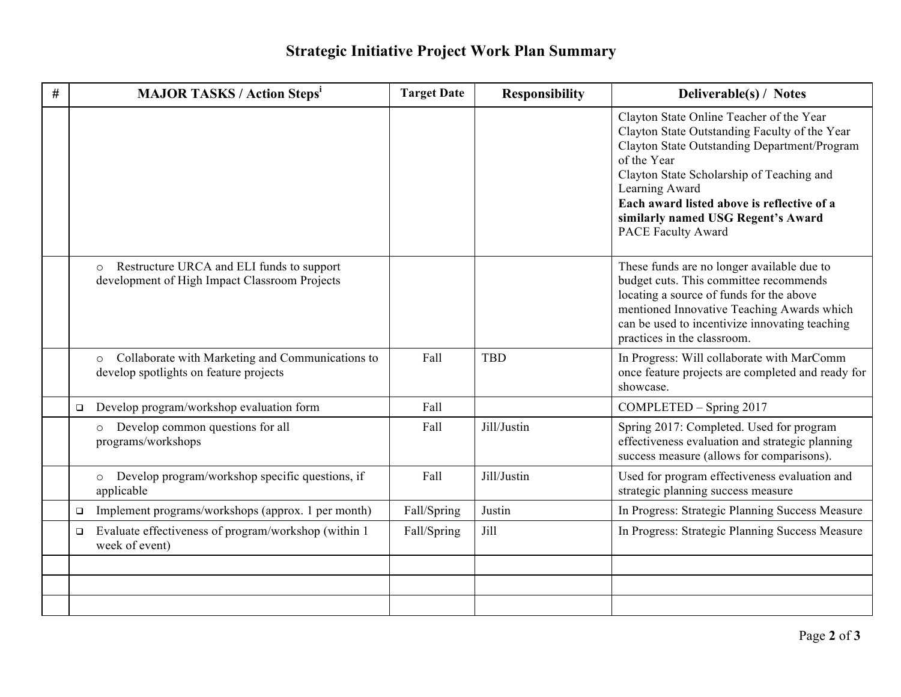## **Strategic Initiative Project Work Plan Summary**

| # |        | <b>MAJOR TASKS / Action Steps<sup>i</sup></b>                                                         | <b>Target Date</b> | <b>Responsibility</b> | Deliverable(s) / Notes                                                                                                                                                                                                                                                                                                                   |
|---|--------|-------------------------------------------------------------------------------------------------------|--------------------|-----------------------|------------------------------------------------------------------------------------------------------------------------------------------------------------------------------------------------------------------------------------------------------------------------------------------------------------------------------------------|
|   |        |                                                                                                       |                    |                       | Clayton State Online Teacher of the Year<br>Clayton State Outstanding Faculty of the Year<br>Clayton State Outstanding Department/Program<br>of the Year<br>Clayton State Scholarship of Teaching and<br>Learning Award<br>Each award listed above is reflective of a<br>similarly named USG Regent's Award<br><b>PACE Faculty Award</b> |
|   |        | Restructure URCA and ELI funds to support<br>$\circ$<br>development of High Impact Classroom Projects |                    |                       | These funds are no longer available due to<br>budget cuts. This committee recommends<br>locating a source of funds for the above<br>mentioned Innovative Teaching Awards which<br>can be used to incentivize innovating teaching<br>practices in the classroom.                                                                          |
|   |        | Collaborate with Marketing and Communications to<br>$\circ$<br>develop spotlights on feature projects | Fall               | <b>TBD</b>            | In Progress: Will collaborate with MarComm<br>once feature projects are completed and ready for<br>showcase.                                                                                                                                                                                                                             |
|   | $\Box$ | Develop program/workshop evaluation form                                                              | Fall               |                       | COMPLETED - Spring 2017                                                                                                                                                                                                                                                                                                                  |
|   |        | Develop common questions for all<br>$\circ$<br>programs/workshops                                     | Fall               | Jill/Justin           | Spring 2017: Completed. Used for program<br>effectiveness evaluation and strategic planning<br>success measure (allows for comparisons).                                                                                                                                                                                                 |
|   |        | Develop program/workshop specific questions, if<br>$\circ$<br>applicable                              | Fall               | Jill/Justin           | Used for program effectiveness evaluation and<br>strategic planning success measure                                                                                                                                                                                                                                                      |
|   | $\Box$ | Implement programs/workshops (approx. 1 per month)                                                    | Fall/Spring        | Justin                | In Progress: Strategic Planning Success Measure                                                                                                                                                                                                                                                                                          |
|   | $\Box$ | Evaluate effectiveness of program/workshop (within 1)<br>week of event)                               | Fall/Spring        | Jill                  | In Progress: Strategic Planning Success Measure                                                                                                                                                                                                                                                                                          |
|   |        |                                                                                                       |                    |                       |                                                                                                                                                                                                                                                                                                                                          |
|   |        |                                                                                                       |                    |                       |                                                                                                                                                                                                                                                                                                                                          |
|   |        |                                                                                                       |                    |                       |                                                                                                                                                                                                                                                                                                                                          |